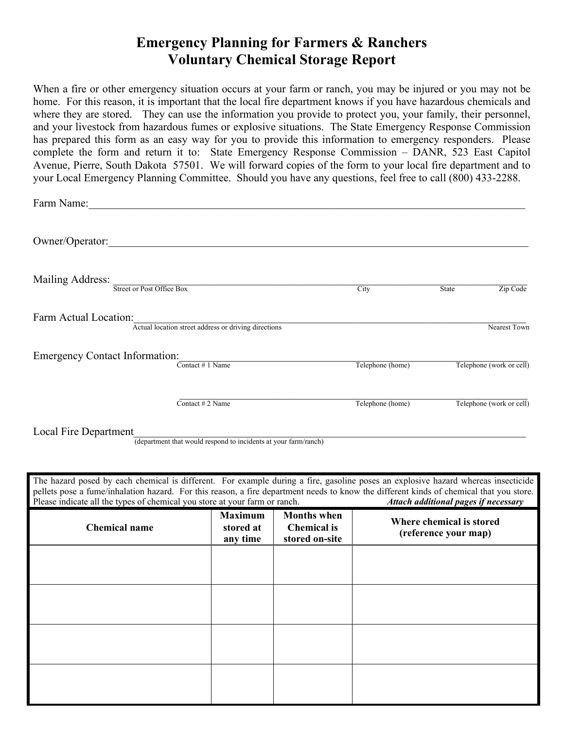## **Emergency Planning for Farmers & Ranchers Voluntary Chemical Storage Report**

When a fire or other emergency situation occurs at your farm or ranch, you may be injured or you may not be home. For this reason, it is important that the local fire department knows if you have hazardous chemicals and where they are stored. They can use the information you provide to protect you, your family, their personnel, and your livestock from hazardous fumes or explosive situations. The State Emergency Response Commission has prepared this form as an easy way for you to provide this information to emergency responders. Please complete the form and return it to: State Emergency Response Commission – DANR, 523 East Capitol Avenue, Pierre, South Dakota 57501. We will forward copies of the form to your local fire department and to your Local Emergency Planning Committee. Should you have any questions, feel free to call (800) 433-2288.

| Farm Name:                                                                                                                                                                                                                                                                                                                                                                                                                                                                 |                                         |                                                            |                  |                                                                                          |                          |
|----------------------------------------------------------------------------------------------------------------------------------------------------------------------------------------------------------------------------------------------------------------------------------------------------------------------------------------------------------------------------------------------------------------------------------------------------------------------------|-----------------------------------------|------------------------------------------------------------|------------------|------------------------------------------------------------------------------------------|--------------------------|
| Owner/Operator:                                                                                                                                                                                                                                                                                                                                                                                                                                                            |                                         |                                                            |                  |                                                                                          |                          |
| Mailing Address: Street or Post Office Box                                                                                                                                                                                                                                                                                                                                                                                                                                 |                                         |                                                            | City             | State                                                                                    | Zip Code                 |
| Farm Actual Location:<br>Actual location street address or driving directions                                                                                                                                                                                                                                                                                                                                                                                              |                                         |                                                            |                  |                                                                                          | Nearest Town             |
| Emergency Contact Information:<br>Contact $# 1$ Name                                                                                                                                                                                                                                                                                                                                                                                                                       |                                         |                                                            | Telephone (home) | Telephone (work or cell)                                                                 |                          |
| Contact # 2 Name<br>Local Fire Department<br>(department that would respond to incidents at your farm/ranch)<br>The hazard posed by each chemical is different. For example during a fire, gasoline poses an explosive hazard whereas insecticide<br>pellets pose a fume/inhalation hazard. For this reason, a fire department needs to know the different kinds of chemical that you store.<br>Please indicate all the types of chemical you store at your farm or ranch. |                                         |                                                            | Telephone (home) |                                                                                          | Telephone (work or cell) |
| <b>Chemical name</b>                                                                                                                                                                                                                                                                                                                                                                                                                                                       | <b>Maximum</b><br>stored at<br>any time | <b>Months</b> when<br><b>Chemical</b> is<br>stored on-site |                  | Attach additional pages if necessary<br>Where chemical is stored<br>(reference your map) |                          |
|                                                                                                                                                                                                                                                                                                                                                                                                                                                                            |                                         |                                                            |                  |                                                                                          |                          |
|                                                                                                                                                                                                                                                                                                                                                                                                                                                                            |                                         |                                                            |                  |                                                                                          |                          |
|                                                                                                                                                                                                                                                                                                                                                                                                                                                                            |                                         |                                                            |                  |                                                                                          |                          |
|                                                                                                                                                                                                                                                                                                                                                                                                                                                                            |                                         |                                                            |                  |                                                                                          |                          |